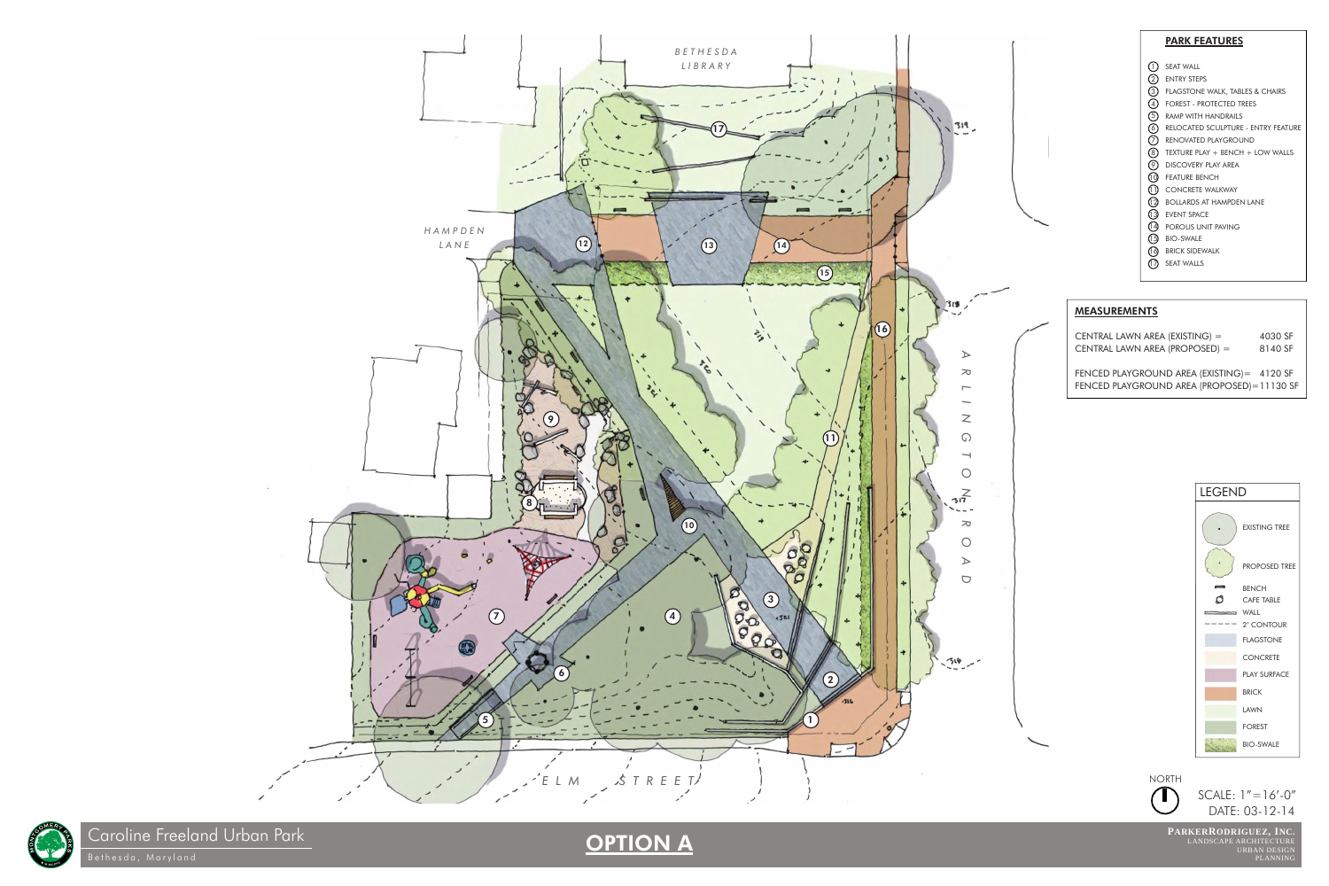Caroline Freeland Urban Park

DATE: 03-12-14



**PARKERRODRIGUEZ, INC.** LANDSCAPE ARCHITECTURE<br>
URBAN DESIGN<br>
PLANNING

SCALE: 1"=16'-0"

- SEAT WALL 1
- 2) ENTRY STEPS
- FLAGSTONE WALK, TABLES & CHAIRS 3
- FOREST PROTECTED TREES 4
- 5) RAMP WITH HANDRAILS
- 6) RELOCATED SCULPTURE ENTRY FEATURE
- 7) RENOVATED PLAYGROUND
- 8) TEXTURE PLAY + BENCH + LOW WALLS
- 9) DISCOVERY PLAY AREA
- FEATURE BENCH 10
- 11) CONCRETE WALKWAY
- 12) BOLLARDS AT HAMPDEN LANE
- EVENT SPACE 13
- 14) POROUS UNIT PAVING
- BIO-SWALE 15
- 16) BRICK SIDEWALK
- 1*7*) SEAT WALLS









## OPTION A

#### PARK FEATURES

CENTRAL LAWN AREA (EXISTING) = 4030 SF CENTRAL LAWN AREA (PROPOSED) = 8140 SF

FENCED PLAYGROUND AREA (EXISTING)= 4120 SF FENCED PLAYGROUND AREA (PROPOSED)= 11130 SF

#### MEASUREMENTS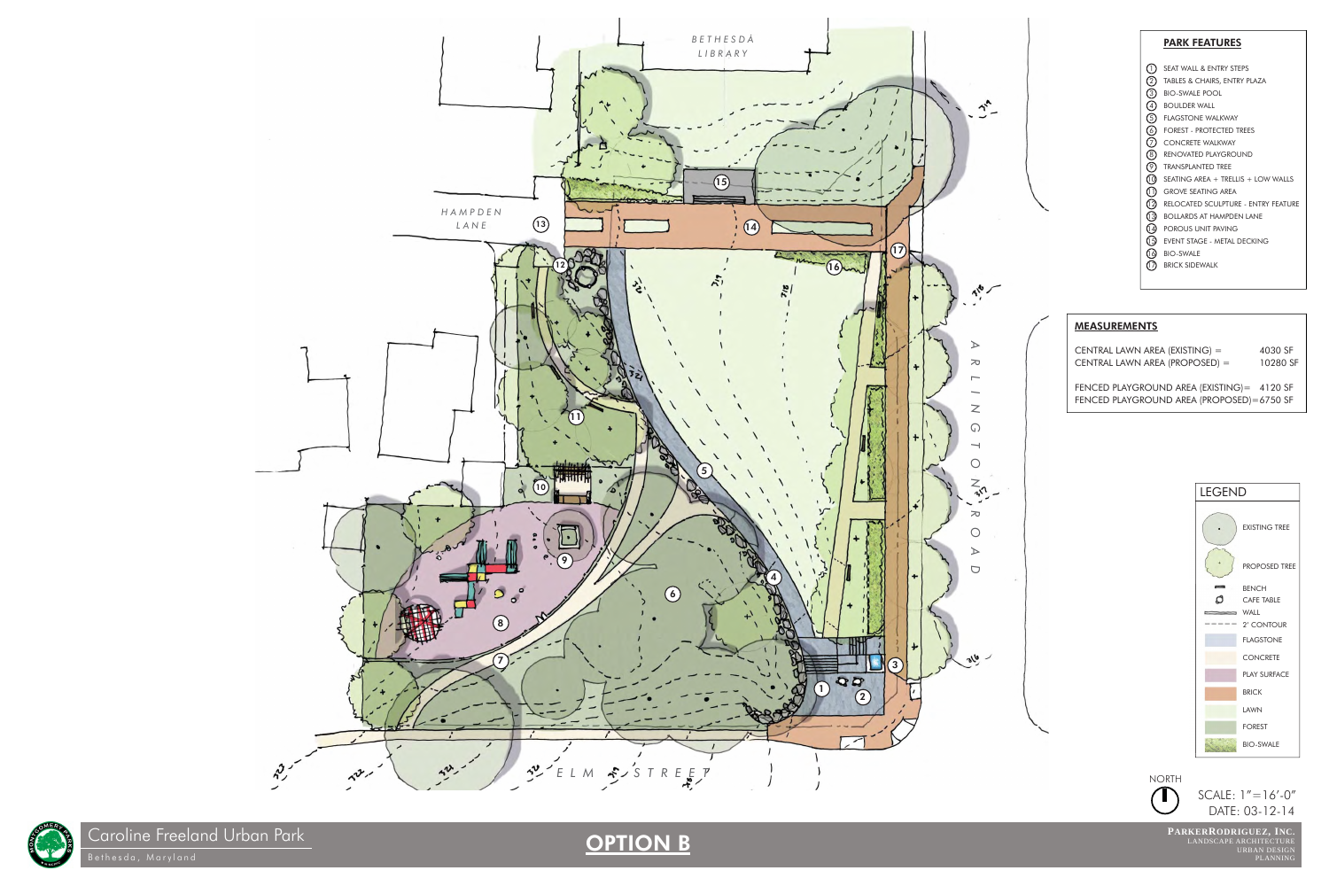LANDSCAPE ARCHITECTURE URBAN DESIGN

**PARKERRODRIGUEZ, INC.** DATE: 03-12-14

Bethesda, Maryland PLANNING



SCALE: 1"=16'-0"

## OPTION B



### PARK FEATURES

- 1) SEAT WALL & ENTRY STEPS
- TABLES & CHAIRS, ENTRY PLAZA 2
- BIO-SWALE POOL 3
- 4) BOULDER WALL
- 5) FLAGSTONE WALKWAY
- FOREST PROTECTED TREES 6
- CONCRETE WALKWAY 7
- 8) RENOVATED PLAYGROUND
- 9) TRANSPLANTED TREE
- 10) SEATING AREA + TRELLIS + LOW WALLS
- 11) GROVE SEATING AREA
- 12) RELOCATED SCULPTURE ENTRY FEATURE
- 13) BOLLARDS AT HAMPDEN LANE
- 14) POROUS UNIT PAVING
- 15) EVENT STAGE METAL DECKING
- BIO-SWALE 16
- BRICK SIDEWALK 17

CENTRAL LAWN AREA (EXISTING) = 4030 SF CENTRAL LAWN AREA (PROPOSED) = 10280 SF









Caroline Freeland Urban Park

FENCED PLAYGROUND AREA (EXISTING)= 4120 SF FENCED PLAYGROUND AREA (PROPOSED)= 6750 SF

*ARLINGTON ROAD*

 $\bm{\Sigma}$ 

 $\bigcirc$ 

 $\Box$ 

 $\frac{d}{ds}$ 

 $\overline{\phantom{0}}$ 

 $\gamma^*$ 

 $A_{i}^{ab}$ 

 $\triangleright$ 

 $\sigma$ 

 $\mathsf{Z}$ 

### MEASUREMENTS